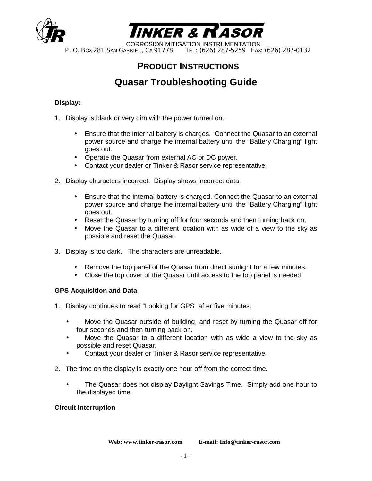



CORROSION MITIGATION INSTRUMENTATION<br>P. O. Box 281 SAN GABRIEL, CA 91778 TEL: (626) 287-5259 FAX: TEL: (626) 287-5259 FAX: (626) 287-0132

# **PRODUCT INSTRUCTIONS**

# **Quasar Troubleshooting Guide**

### **Display:**

- 1. Display is blank or very dim with the power turned on.
	- Ensure that the internal battery is charges. Connect the Quasar to an external power source and charge the internal battery until the "Battery Charging" light goes out.
	- Operate the Quasar from external AC or DC power.
	- Contact your dealer or Tinker & Rasor service representative.
- 2. Display characters incorrect. Display shows incorrect data.
	- Ensure that the internal battery is charged. Connect the Quasar to an external power source and charge the internal battery until the "Battery Charging" light goes out.
	- Reset the Quasar by turning off for four seconds and then turning back on.
	- Move the Quasar to a different location with as wide of a view to the sky as possible and reset the Quasar.
- 3. Display is too dark. The characters are unreadable.
	- Remove the top panel of the Quasar from direct sunlight for a few minutes.
	- Close the top cover of the Quasar until access to the top panel is needed.

### **GPS Acquisition and Data**

- 1. Display continues to read "Looking for GPS" after five minutes.
	- Move the Quasar outside of building, and reset by turning the Quasar off for four seconds and then turning back on.
	- Move the Quasar to a different location with as wide a view to the sky as possible and reset Quasar.
	- Contact your dealer or Tinker & Rasor service representative.
- 2. The time on the display is exactly one hour off from the correct time.
	- The Quasar does not display Daylight Savings Time. Simply add one hour to the displayed time.

#### **Circuit Interruption**